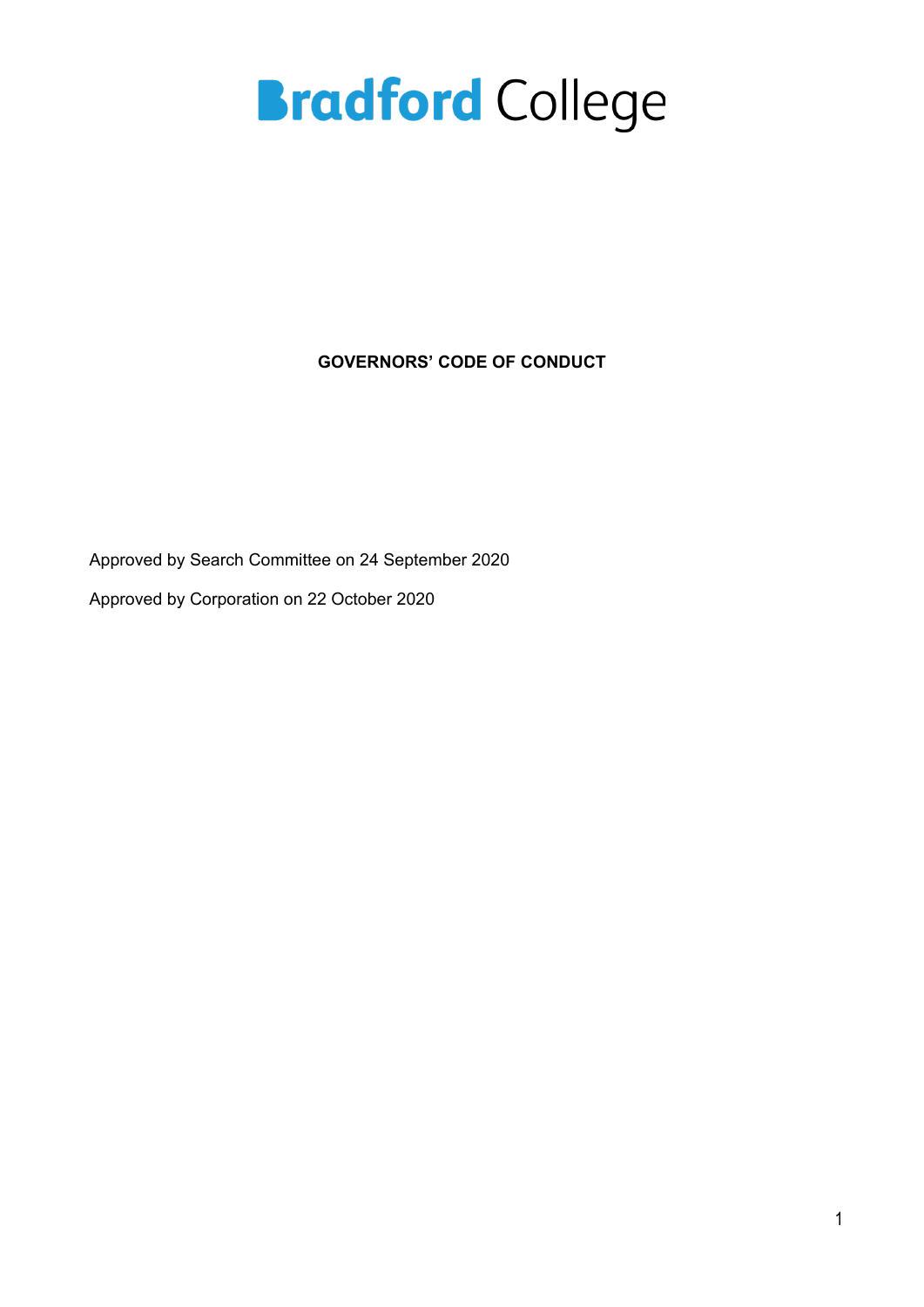**GOVERNORS' CODE OF CONDUCT**

Approved by Search Committee on 24 September 2020

Approved by Corporation on 22 October 2020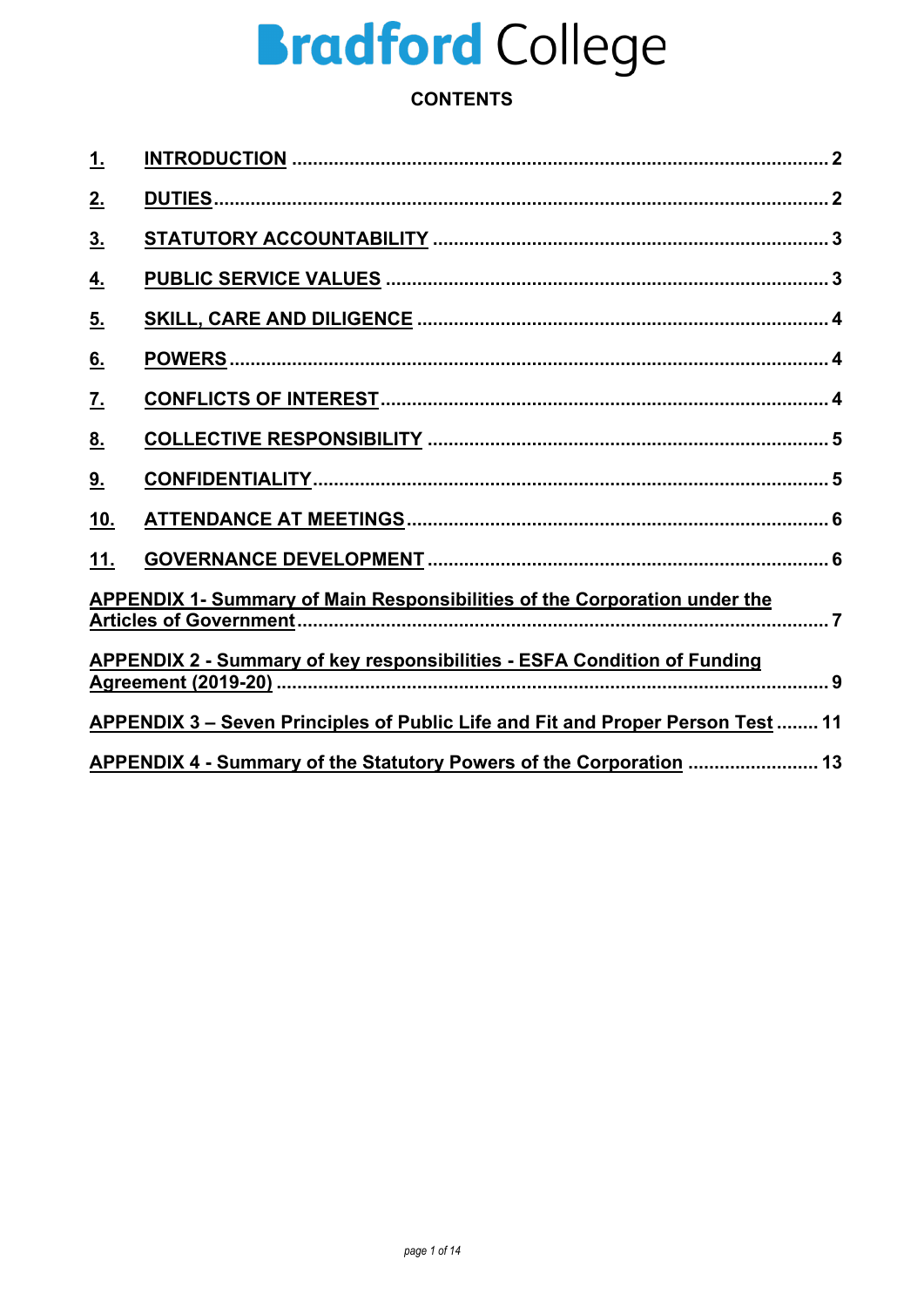## **CONTENTS**

| <u>1.</u>                                                                              |                                                                                 |  |
|----------------------------------------------------------------------------------------|---------------------------------------------------------------------------------|--|
| 2.                                                                                     |                                                                                 |  |
| 3 <sub>1</sub>                                                                         |                                                                                 |  |
| <u>4.</u>                                                                              |                                                                                 |  |
| 5.                                                                                     |                                                                                 |  |
| 6.                                                                                     |                                                                                 |  |
| $\underline{\mathbf{7}}$ .                                                             |                                                                                 |  |
| 8 <sub>1</sub>                                                                         |                                                                                 |  |
| 9.                                                                                     |                                                                                 |  |
| <u>10.</u>                                                                             |                                                                                 |  |
| 11.                                                                                    |                                                                                 |  |
| <b>APPENDIX 1- Summary of Main Responsibilities of the Corporation under the</b>       |                                                                                 |  |
|                                                                                        | <b>APPENDIX 2 - Summary of key responsibilities - ESFA Condition of Funding</b> |  |
| <b>APPENDIX 3 – Seven Principles of Public Life and Fit and Proper Person Test  11</b> |                                                                                 |  |
| APPENDIX 4 - Summary of the Statutory Powers of the Corporation  13                    |                                                                                 |  |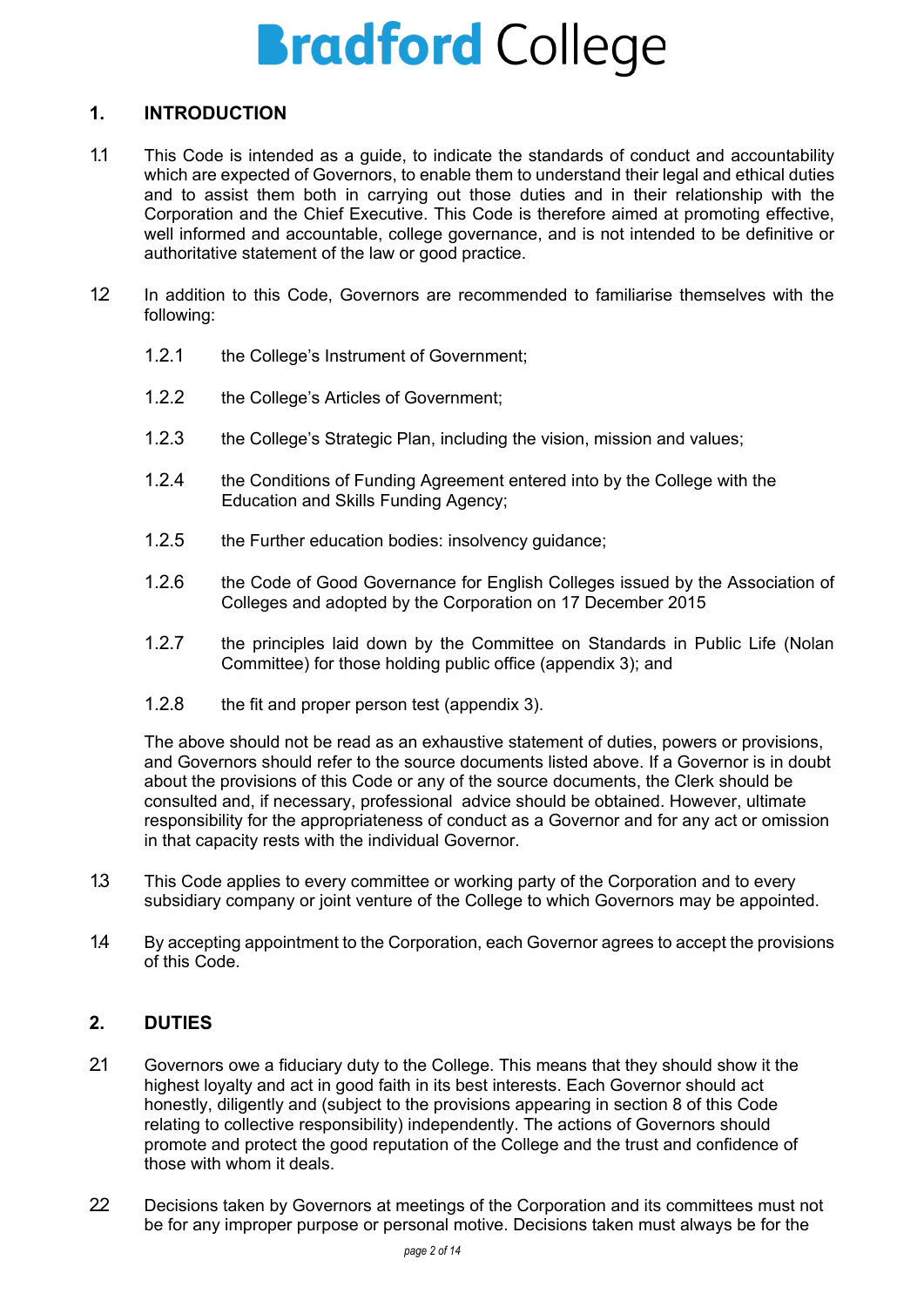### <span id="page-2-0"></span>**1. INTRODUCTION**

- 1.1 This Code is intended as a guide, to indicate the standards of conduct and accountability which are expected of Governors, to enable them to understand their legal and ethical duties and to assist them both in carrying out those duties and in their relationship with the Corporation and the Chief Executive. This Code is therefore aimed at promoting effective, well informed and accountable, college governance, and is not intended to be definitive or authoritative statement of the law or good practice.
- 1.2 In addition to this Code, Governors are recommended to familiarise themselves with the following:
	- 1.2.1 the College's Instrument of Government;
	- 1.2.2 the College's Articles of Government;
	- 1.2.3 the College's Strategic Plan, including the vision, mission and values;
	- 1.2.4 the Conditions of Funding Agreement entered into by the College with the Education and Skills Funding Agency;
	- 1.2.5 the Further education bodies: insolvency guidance;
	- 1.2.6 the Code of Good Governance for English Colleges issued by the Association of Colleges and adopted by the Corporation on 17 December 2015
	- 1.2.7 the principles laid down by the Committee on Standards in Public Life (Nolan Committee) for those holding public office (appendix 3); and
	- 1.2.8 the fit and proper person test (appendix 3).

The above should not be read as an exhaustive statement of duties, powers or provisions, and Governors should refer to the source documents listed above. If a Governor is in doubt about the provisions of this Code or any of the source documents, the Clerk should be consulted and, if necessary, professional advice should be obtained. However, ultimate responsibility for the appropriateness of conduct as a Governor and for any act or omission in that capacity rests with the individual Governor.

- 1.3 This Code applies to every committee or working party of the Corporation and to every subsidiary company or joint venture of the College to which Governors may be appointed.
- 1.4 By accepting appointment to the Corporation, each Governor agrees to accept the provisions of this Code.

## <span id="page-2-1"></span>**2. DUTIES**

- 2.1 Governors owe a fiduciary duty to the College. This means that they should show it the highest loyalty and act in good faith in its best interests. Each Governor should act honestly, diligently and (subject to the provisions appearing in section 8 of this Code relating to collective responsibility) independently. The actions of Governors should promote and protect the good reputation of the College and the trust and confidence of those with whom it deals.
- 22 Decisions taken by Governors at meetings of the Corporation and its committees must not be for any improper purpose or personal motive. Decisions taken must always be for the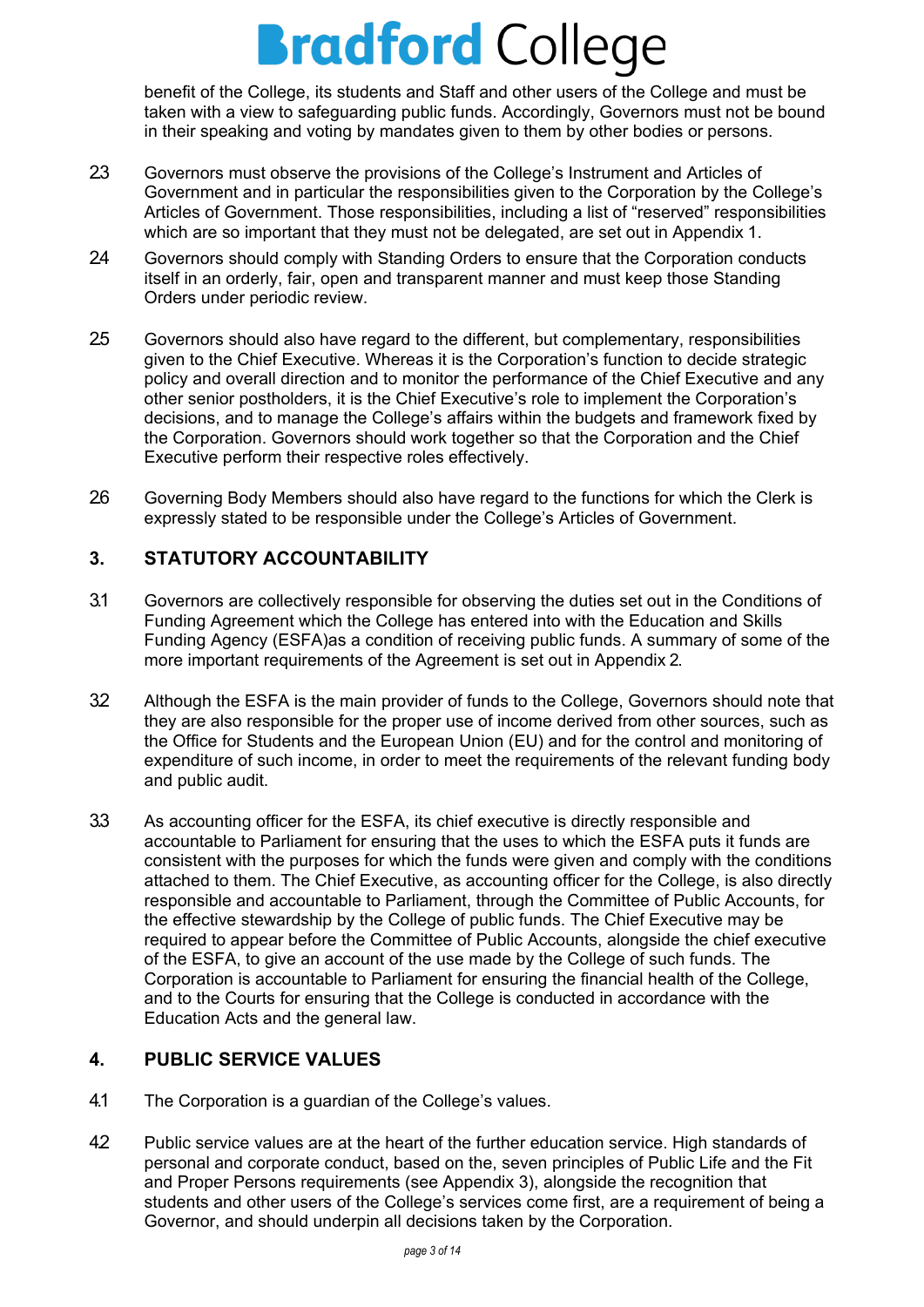benefit of the College, its students and Staff and other users of the College and must be taken with a view to safeguarding public funds. Accordingly, Governors must not be bound in their speaking and voting by mandates given to them by other bodies or persons.

- 2.3 Governors must observe the provisions of the College's Instrument and Articles of Government and in particular the responsibilities given to the Corporation by the College's Articles of Government. Those responsibilities, including a list of "reserved" responsibilities which are so important that they must not be delegated, are set out in Appendix 1.
- 24 Governors should comply with Standing Orders to ensure that the Corporation conducts itself in an orderly, fair, open and transparent manner and must keep those Standing Orders under periodic review.
- 2.5 Governors should also have regard to the different, but complementary, responsibilities given to the Chief Executive. Whereas it is the Corporation's function to decide strategic policy and overall direction and to monitor the performance of the Chief Executive and any other senior postholders, it is the Chief Executive's role to implement the Corporation's decisions, and to manage the College's affairs within the budgets and framework fixed by the Corporation. Governors should work together so that the Corporation and the Chief Executive perform their respective roles effectively.
- 26 Governing Body Members should also have regard to the functions for which the Clerk is expressly stated to be responsible under the College's Articles of Government.

## <span id="page-3-0"></span>**3. STATUTORY ACCOUNTABILITY**

- 3.1 Governors are collectively responsible for observing the duties set out in the Conditions of Funding Agreement which the College has entered into with the Education and Skills Funding Agency (ESFA)as a condition of receiving public funds. A summary of some of the more important requirements of the Agreement is set out in Appendix 2.
- 32 Although the ESFA is the main provider of funds to the College, Governors should note that they are also responsible for the proper use of income derived from other sources, such as the Office for Students and the European Union (EU) and for the control and monitoring of expenditure of such income, in order to meet the requirements of the relevant funding body and public audit.
- 3.3 As accounting officer for the ESFA, its chief executive is directly responsible and accountable to Parliament for ensuring that the uses to which the ESFA puts it funds are consistent with the purposes for which the funds were given and comply with the conditions attached to them. The Chief Executive, as accounting officer for the College, is also directly responsible and accountable to Parliament, through the Committee of Public Accounts, for the effective stewardship by the College of public funds. The Chief Executive may be required to appear before the Committee of Public Accounts, alongside the chief executive of the ESFA, to give an account of the use made by the College of such funds. The Corporation is accountable to Parliament for ensuring the financial health of the College, and to the Courts for ensuring that the College is conducted in accordance with the Education Acts and the general law.

## <span id="page-3-1"></span>**4. PUBLIC SERVICE VALUES**

- 4.1 The Corporation is a guardian of the College's values.
- 42 Public service values are at the heart of the further education service. High standards of personal and corporate conduct, based on the, seven principles of Public Life and the Fit and Proper Persons requirements (see Appendix 3), alongside the recognition that students and other users of the College's services come first, are a requirement of being a Governor, and should underpin all decisions taken by the Corporation.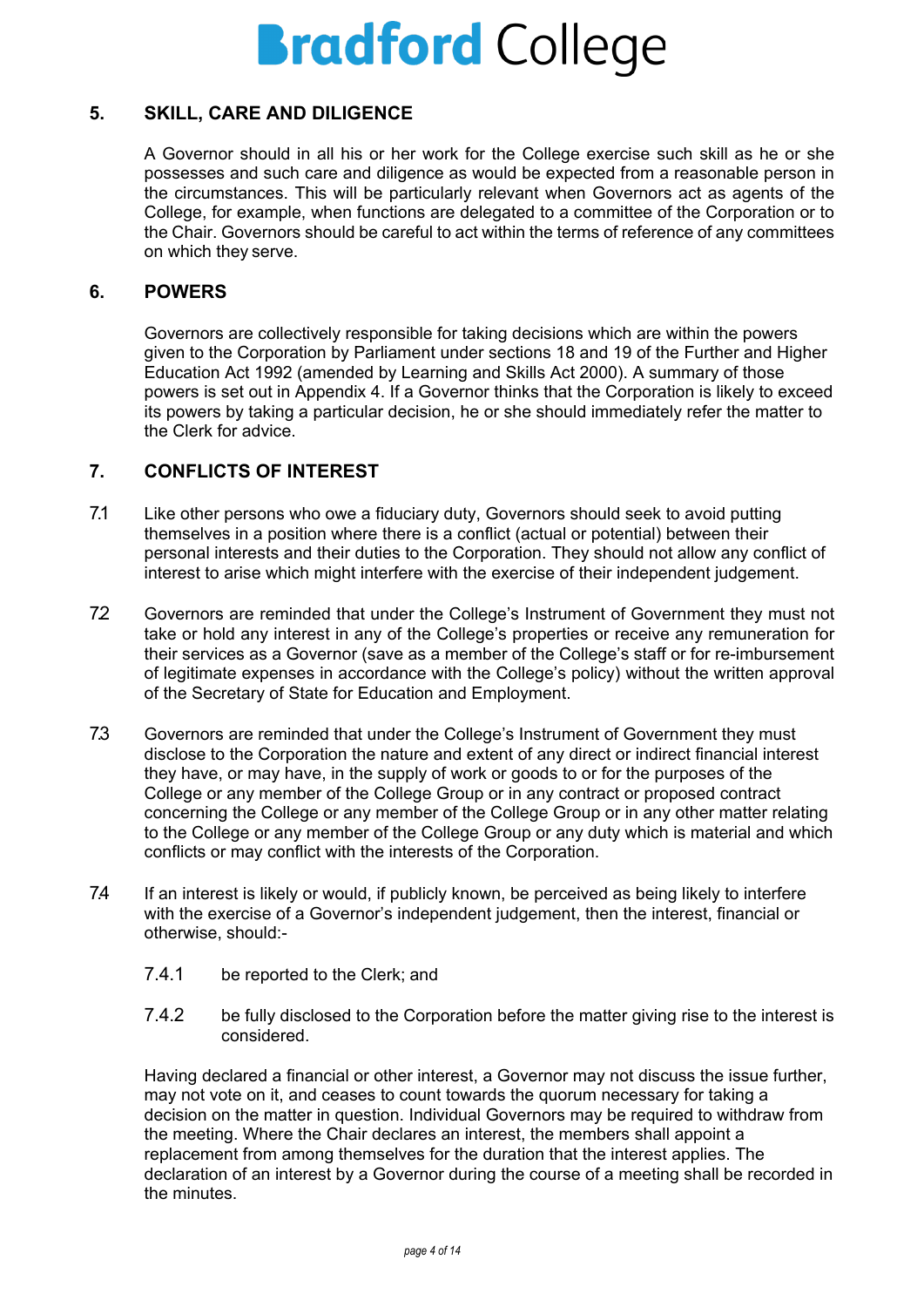### <span id="page-4-0"></span>**5. SKILL, CARE AND DILIGENCE**

A Governor should in all his or her work for the College exercise such skill as he or she possesses and such care and diligence as would be expected from a reasonable person in the circumstances. This will be particularly relevant when Governors act as agents of the College, for example, when functions are delegated to a committee of the Corporation or to the Chair. Governors should be careful to act within the terms of reference of any committees on which they serve.

#### <span id="page-4-1"></span>**6. POWERS**

Governors are collectively responsible for taking decisions which are within the powers given to the Corporation by Parliament under sections 18 and 19 of the Further and Higher Education Act 1992 (amended by Learning and Skills Act 2000). A summary of those powers is set out in Appendix 4. If a Governor thinks that the Corporation is likely to exceed its powers by taking a particular decision, he or she should immediately refer the matter to the Clerk for advice.

### <span id="page-4-2"></span>**7. CONFLICTS OF INTEREST**

- 7.1 Like other persons who owe a fiduciary duty, Governors should seek to avoid putting themselves in a position where there is a conflict (actual or potential) between their personal interests and their duties to the Corporation. They should not allow any conflict of interest to arise which might interfere with the exercise of their independent judgement.
- 72 Governors are reminded that under the College's Instrument of Government they must not take or hold any interest in any of the College's properties or receive any remuneration for their services as a Governor (save as a member of the College's staff or for re-imbursement of legitimate expenses in accordance with the College's policy) without the written approval of the Secretary of State for Education and Employment.
- 7.3 Governors are reminded that under the College's Instrument of Government they must disclose to the Corporation the nature and extent of any direct or indirect financial interest they have, or may have, in the supply of work or goods to or for the purposes of the College or any member of the College Group or in any contract or proposed contract concerning the College or any member of the College Group or in any other matter relating to the College or any member of the College Group or any duty which is material and which conflicts or may conflict with the interests of the Corporation.
- 7.4 If an interest is likely or would, if publicly known, be perceived as being likely to interfere with the exercise of a Governor's independent judgement, then the interest, financial or otherwise, should:-
	- 7.4.1 be reported to the Clerk; and
	- 7.4.2 be fully disclosed to the Corporation before the matter giving rise to the interest is considered.

Having declared a financial or other interest, a Governor may not discuss the issue further, may not vote on it, and ceases to count towards the quorum necessary for taking a decision on the matter in question. Individual Governors may be required to withdraw from the meeting. Where the Chair declares an interest, the members shall appoint a replacement from among themselves for the duration that the interest applies. The declaration of an interest by a Governor during the course of a meeting shall be recorded in the minutes.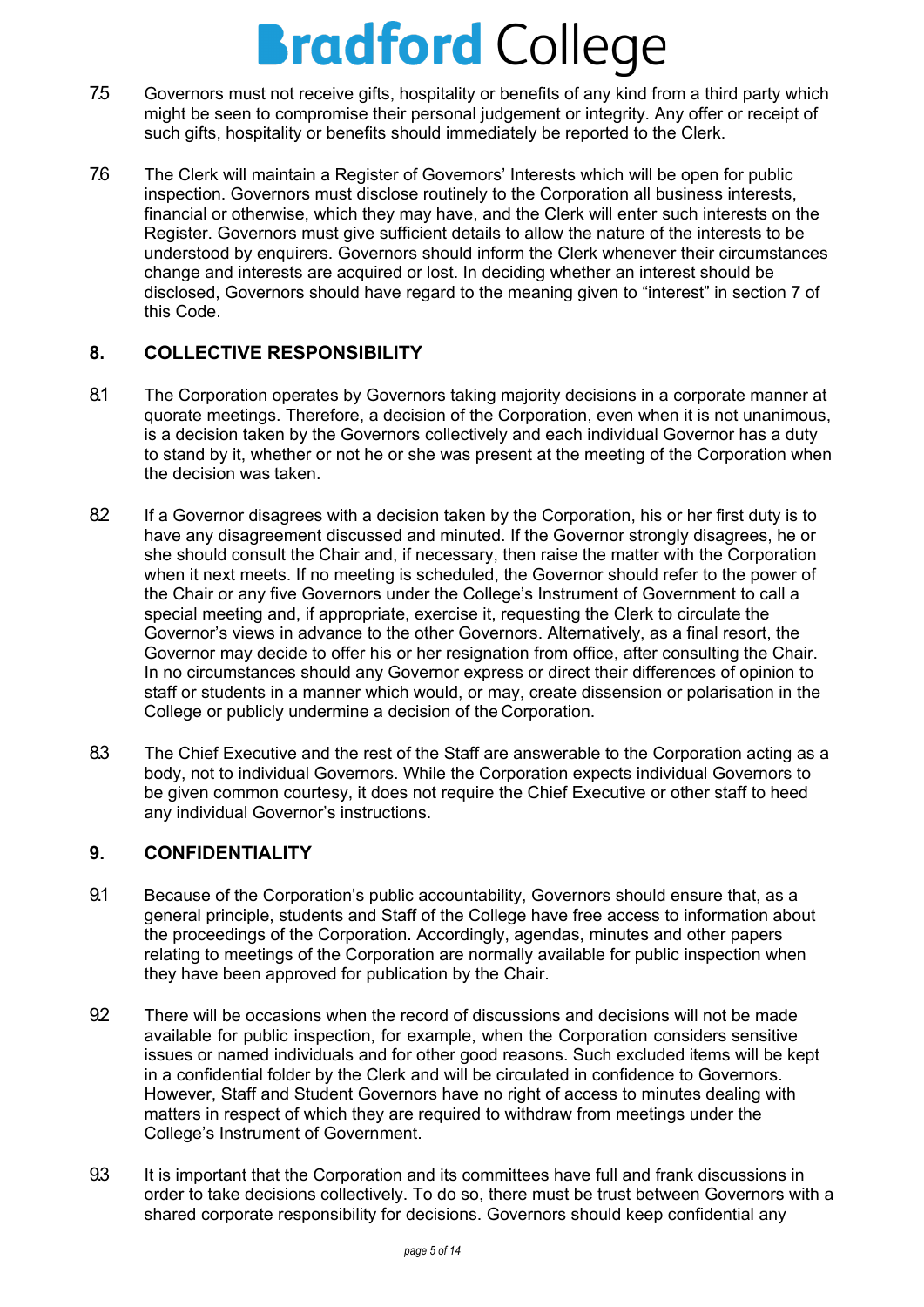- 7.5 Governors must not receive gifts, hospitality or benefits of any kind from a third party which might be seen to compromise their personal judgement or integrity. Any offer or receipt of such gifts, hospitality or benefits should immediately be reported to the Clerk.
- 7.6 The Clerk will maintain a Register of Governors' Interests which will be open for public inspection. Governors must disclose routinely to the Corporation all business interests, financial or otherwise, which they may have, and the Clerk will enter such interests on the Register. Governors must give sufficient details to allow the nature of the interests to be understood by enquirers. Governors should inform the Clerk whenever their circumstances change and interests are acquired or lost. In deciding whether an interest should be disclosed, Governors should have regard to the meaning given to "interest" in section 7 of this Code.

## <span id="page-5-0"></span>**8. COLLECTIVE RESPONSIBILITY**

- 8.1 The Corporation operates by Governors taking majority decisions in a corporate manner at quorate meetings. Therefore, a decision of the Corporation, even when it is not unanimous, is a decision taken by the Governors collectively and each individual Governor has a duty to stand by it, whether or not he or she was present at the meeting of the Corporation when the decision was taken.
- 82 If a Governor disagrees with a decision taken by the Corporation, his or her first duty is to have any disagreement discussed and minuted. If the Governor strongly disagrees, he or she should consult the Chair and, if necessary, then raise the matter with the Corporation when it next meets. If no meeting is scheduled, the Governor should refer to the power of the Chair or any five Governors under the College's Instrument of Government to call a special meeting and, if appropriate, exercise it, requesting the Clerk to circulate the Governor's views in advance to the other Governors. Alternatively, as a final resort, the Governor may decide to offer his or her resignation from office, after consulting the Chair. In no circumstances should any Governor express or direct their differences of opinion to staff or students in a manner which would, or may, create dissension or polarisation in the College or publicly undermine a decision of the Corporation.
- 8.3 The Chief Executive and the rest of the Staff are answerable to the Corporation acting as a body, not to individual Governors. While the Corporation expects individual Governors to be given common courtesy, it does not require the Chief Executive or other staff to heed any individual Governor's instructions.

## <span id="page-5-1"></span>**9. CONFIDENTIALITY**

- 9.1 Because of the Corporation's public accountability, Governors should ensure that, as a general principle, students and Staff of the College have free access to information about the proceedings of the Corporation. Accordingly, agendas, minutes and other papers relating to meetings of the Corporation are normally available for public inspection when they have been approved for publication by the Chair.
- 9.2 There will be occasions when the record of discussions and decisions will not be made available for public inspection, for example, when the Corporation considers sensitive issues or named individuals and for other good reasons. Such excluded items will be kept in a confidential folder by the Clerk and will be circulated in confidence to Governors. However, Staff and Student Governors have no right of access to minutes dealing with matters in respect of which they are required to withdraw from meetings under the College's Instrument of Government.
- 9.3 It is important that the Corporation and its committees have full and frank discussions in order to take decisions collectively. To do so, there must be trust between Governors with a shared corporate responsibility for decisions. Governors should keep confidential any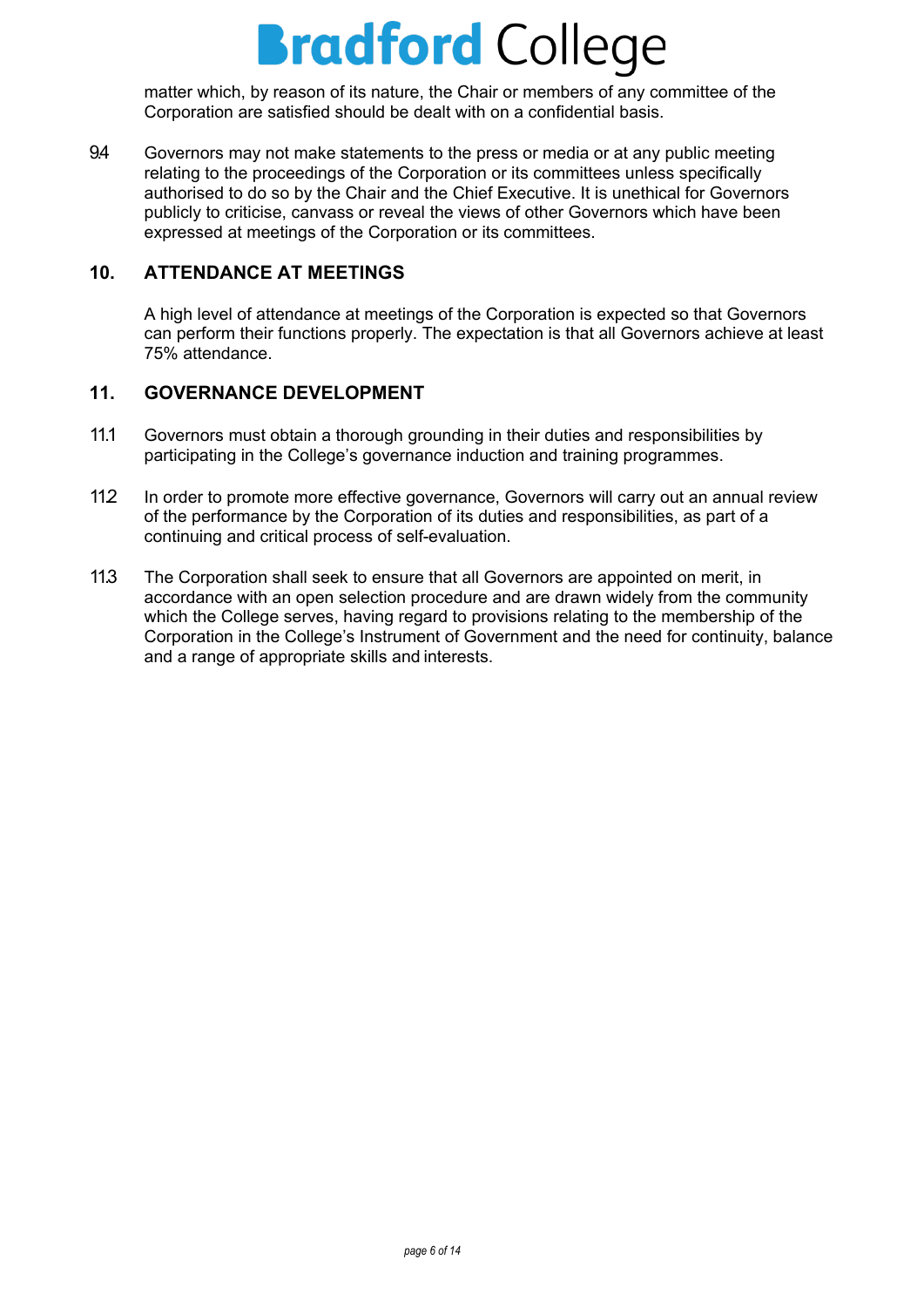matter which, by reason of its nature, the Chair or members of any committee of the Corporation are satisfied should be dealt with on a confidential basis.

9.4 Governors may not make statements to the press or media or at any public meeting relating to the proceedings of the Corporation or its committees unless specifically authorised to do so by the Chair and the Chief Executive. It is unethical for Governors publicly to criticise, canvass or reveal the views of other Governors which have been expressed at meetings of the Corporation or its committees.

### <span id="page-6-0"></span>**10. ATTENDANCE AT MEETINGS**

A high level of attendance at meetings of the Corporation is expected so that Governors can perform their functions properly. The expectation is that all Governors achieve at least 75% attendance.

### <span id="page-6-1"></span>**11. GOVERNANCE DEVELOPMENT**

- 11.1 Governors must obtain a thorough grounding in their duties and responsibilities by participating in the College's governance induction and training programmes.
- 11.2 In order to promote more effective governance, Governors will carry out an annual review of the performance by the Corporation of its duties and responsibilities, as part of a continuing and critical process of self-evaluation.
- 11.3 The Corporation shall seek to ensure that all Governors are appointed on merit, in accordance with an open selection procedure and are drawn widely from the community which the College serves, having regard to provisions relating to the membership of the Corporation in the College's Instrument of Government and the need for continuity, balance and a range of appropriate skills and interests.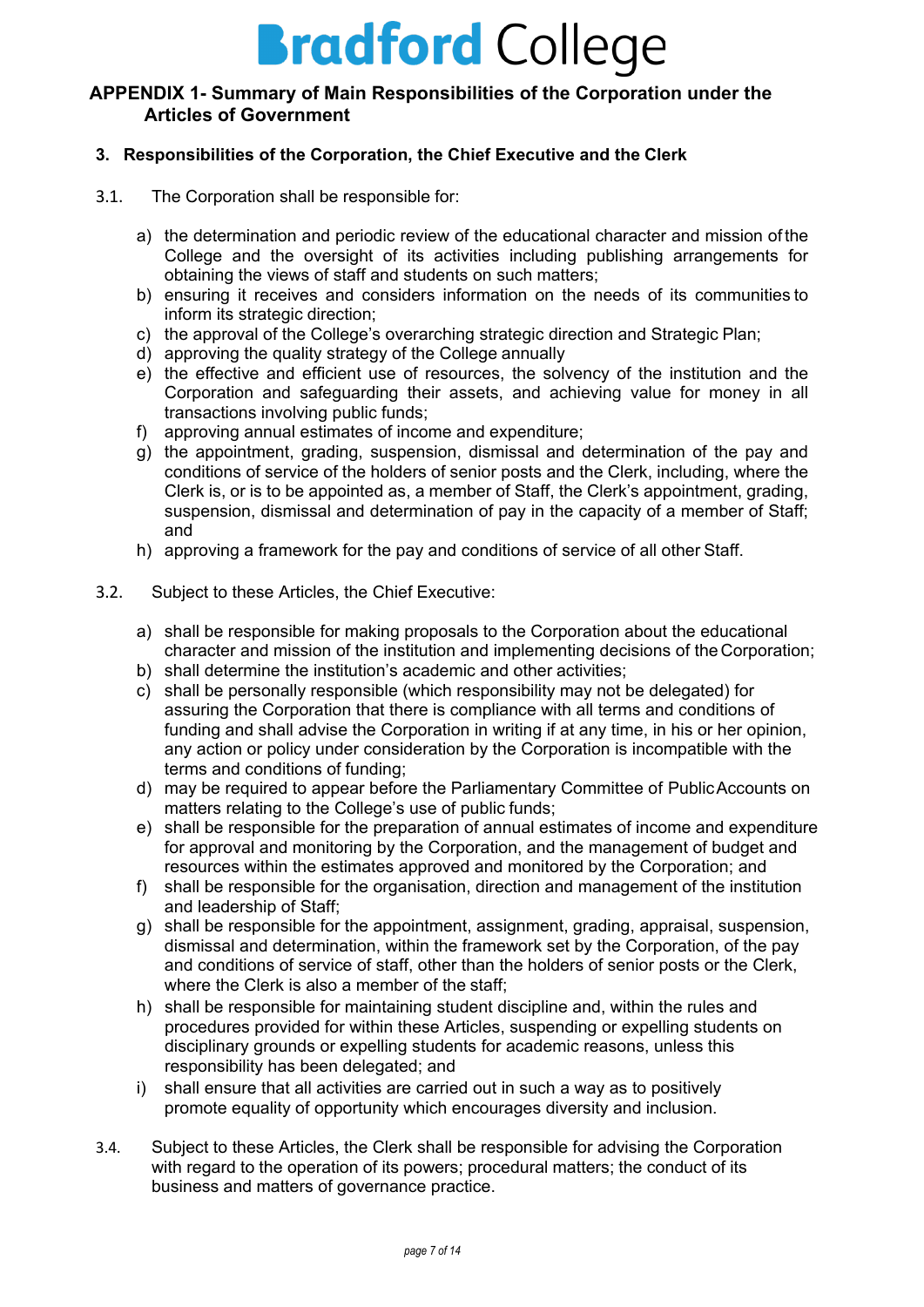### <span id="page-7-0"></span>**APPENDIX 1- Summary of Main Responsibilities of the Corporation under the Articles of Government**

#### **3. Responsibilities of the Corporation, the Chief Executive and the Clerk**

- 3.1. The Corporation shall be responsible for:
	- a) the determination and periodic review of the educational character and mission of the College and the oversight of its activities including publishing arrangements for obtaining the views of staff and students on such matters;
	- b) ensuring it receives and considers information on the needs of its communities to inform its strategic direction;
	- c) the approval of the College's overarching strategic direction and Strategic Plan;
	- d) approving the quality strategy of the College annually
	- e) the effective and efficient use of resources, the solvency of the institution and the Corporation and safeguarding their assets, and achieving value for money in all transactions involving public funds;
	- f) approving annual estimates of income and expenditure;
	- g) the appointment, grading, suspension, dismissal and determination of the pay and conditions of service of the holders of senior posts and the Clerk, including, where the Clerk is, or is to be appointed as, a member of Staff, the Clerk's appointment, grading, suspension, dismissal and determination of pay in the capacity of a member of Staff; and
	- h) approving a framework for the pay and conditions of service of all other Staff.
- 3.2. Subject to these Articles, the Chief Executive:
	- a) shall be responsible for making proposals to the Corporation about the educational character and mission of the institution and implementing decisions of theCorporation;
	- b) shall determine the institution's academic and other activities;
	- c) shall be personally responsible (which responsibility may not be delegated) for assuring the Corporation that there is compliance with all terms and conditions of funding and shall advise the Corporation in writing if at any time, in his or her opinion, any action or policy under consideration by the Corporation is incompatible with the terms and conditions of funding;
	- d) may be required to appear before the Parliamentary Committee of PublicAccounts on matters relating to the College's use of public funds;
	- e) shall be responsible for the preparation of annual estimates of income and expenditure for approval and monitoring by the Corporation, and the management of budget and resources within the estimates approved and monitored by the Corporation; and
	- f) shall be responsible for the organisation, direction and management of the institution and leadership of Staff;
	- g) shall be responsible for the appointment, assignment, grading, appraisal, suspension, dismissal and determination, within the framework set by the Corporation, of the pay and conditions of service of staff, other than the holders of senior posts or the Clerk, where the Clerk is also a member of the staff;
	- h) shall be responsible for maintaining student discipline and, within the rules and procedures provided for within these Articles, suspending or expelling students on disciplinary grounds or expelling students for academic reasons, unless this responsibility has been delegated; and
	- i) shall ensure that all activities are carried out in such a way as to positively promote equality of opportunity which encourages diversity and inclusion.
- 3.4. Subject to these Articles, the Clerk shall be responsible for advising the Corporation with regard to the operation of its powers; procedural matters; the conduct of its business and matters of governance practice.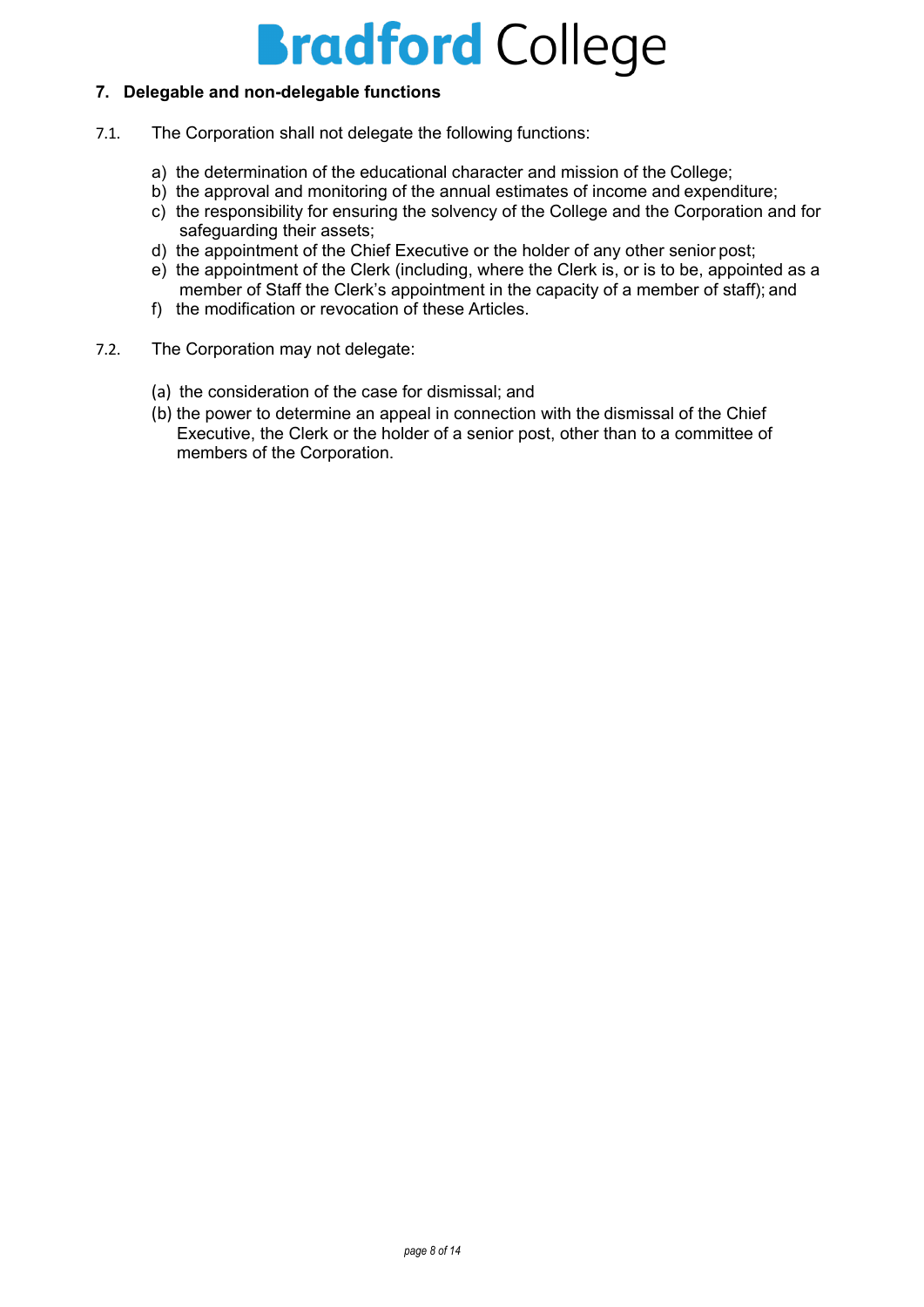#### **7. Delegable and non-delegable functions**

- 7.1. The Corporation shall not delegate the following functions:
	- a) the determination of the educational character and mission of the College;
	- b) the approval and monitoring of the annual estimates of income and expenditure;
	- c) the responsibility for ensuring the solvency of the College and the Corporation and for safeguarding their assets;
	- d) the appointment of the Chief Executive or the holder of any other senior post;
	- e) the appointment of the Clerk (including, where the Clerk is, or is to be, appointed as a member of Staff the Clerk's appointment in the capacity of a member of staff); and
	- f) the modification or revocation of these Articles.
- 7.2. The Corporation may not delegate:
	- (a) the consideration of the case for dismissal; and
	- (b) the power to determine an appeal in connection with the dismissal of the Chief Executive, the Clerk or the holder of a senior post, other than to a committee of members of the Corporation.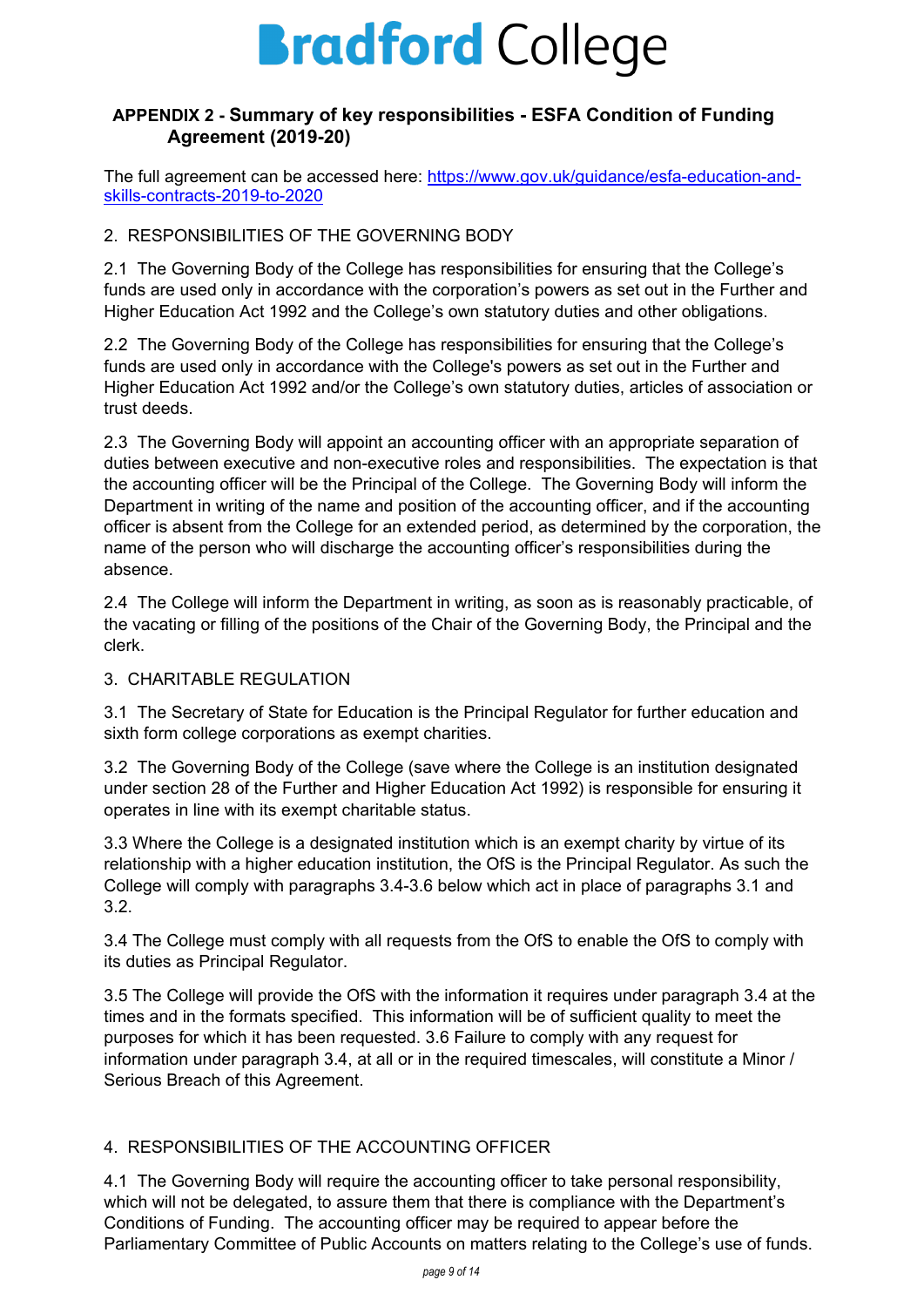### <span id="page-9-0"></span>**APPENDIX 2 - Summary of key responsibilities - ESFA Condition of Funding Agreement (2019-20)**

The full agreement can be accessed here: [https://www.gov.uk/guidance/esfa-education-and](https://www.gov.uk/guidance/esfa-education-and-skills-contracts-2019-to-2020)[skills-contracts-2019-to-2020](https://www.gov.uk/guidance/esfa-education-and-skills-contracts-2019-to-2020)

### 2. RESPONSIBILITIES OF THE GOVERNING BODY

2.1 The Governing Body of the College has responsibilities for ensuring that the College's funds are used only in accordance with the corporation's powers as set out in the Further and Higher Education Act 1992 and the College's own statutory duties and other obligations.

2.2 The Governing Body of the College has responsibilities for ensuring that the College's funds are used only in accordance with the College's powers as set out in the Further and Higher Education Act 1992 and/or the College's own statutory duties, articles of association or trust deeds.

2.3 The Governing Body will appoint an accounting officer with an appropriate separation of duties between executive and non-executive roles and responsibilities. The expectation is that the accounting officer will be the Principal of the College. The Governing Body will inform the Department in writing of the name and position of the accounting officer, and if the accounting officer is absent from the College for an extended period, as determined by the corporation, the name of the person who will discharge the accounting officer's responsibilities during the absence.

2.4 The College will inform the Department in writing, as soon as is reasonably practicable, of the vacating or filling of the positions of the Chair of the Governing Body, the Principal and the clerk.

### 3. CHARITABLE REGULATION

3.1 The Secretary of State for Education is the Principal Regulator for further education and sixth form college corporations as exempt charities.

3.2 The Governing Body of the College (save where the College is an institution designated under section 28 of the Further and Higher Education Act 1992) is responsible for ensuring it operates in line with its exempt charitable status.

3.3 Where the College is a designated institution which is an exempt charity by virtue of its relationship with a higher education institution, the OfS is the Principal Regulator. As such the College will comply with paragraphs 3.4-3.6 below which act in place of paragraphs 3.1 and 3.2.

3.4 The College must comply with all requests from the OfS to enable the OfS to comply with its duties as Principal Regulator.

3.5 The College will provide the OfS with the information it requires under paragraph 3.4 at the times and in the formats specified. This information will be of sufficient quality to meet the purposes for which it has been requested. 3.6 Failure to comply with any request for information under paragraph 3.4, at all or in the required timescales, will constitute a Minor / Serious Breach of this Agreement.

## 4. RESPONSIBILITIES OF THE ACCOUNTING OFFICER

4.1 The Governing Body will require the accounting officer to take personal responsibility, which will not be delegated, to assure them that there is compliance with the Department's Conditions of Funding. The accounting officer may be required to appear before the Parliamentary Committee of Public Accounts on matters relating to the College's use of funds.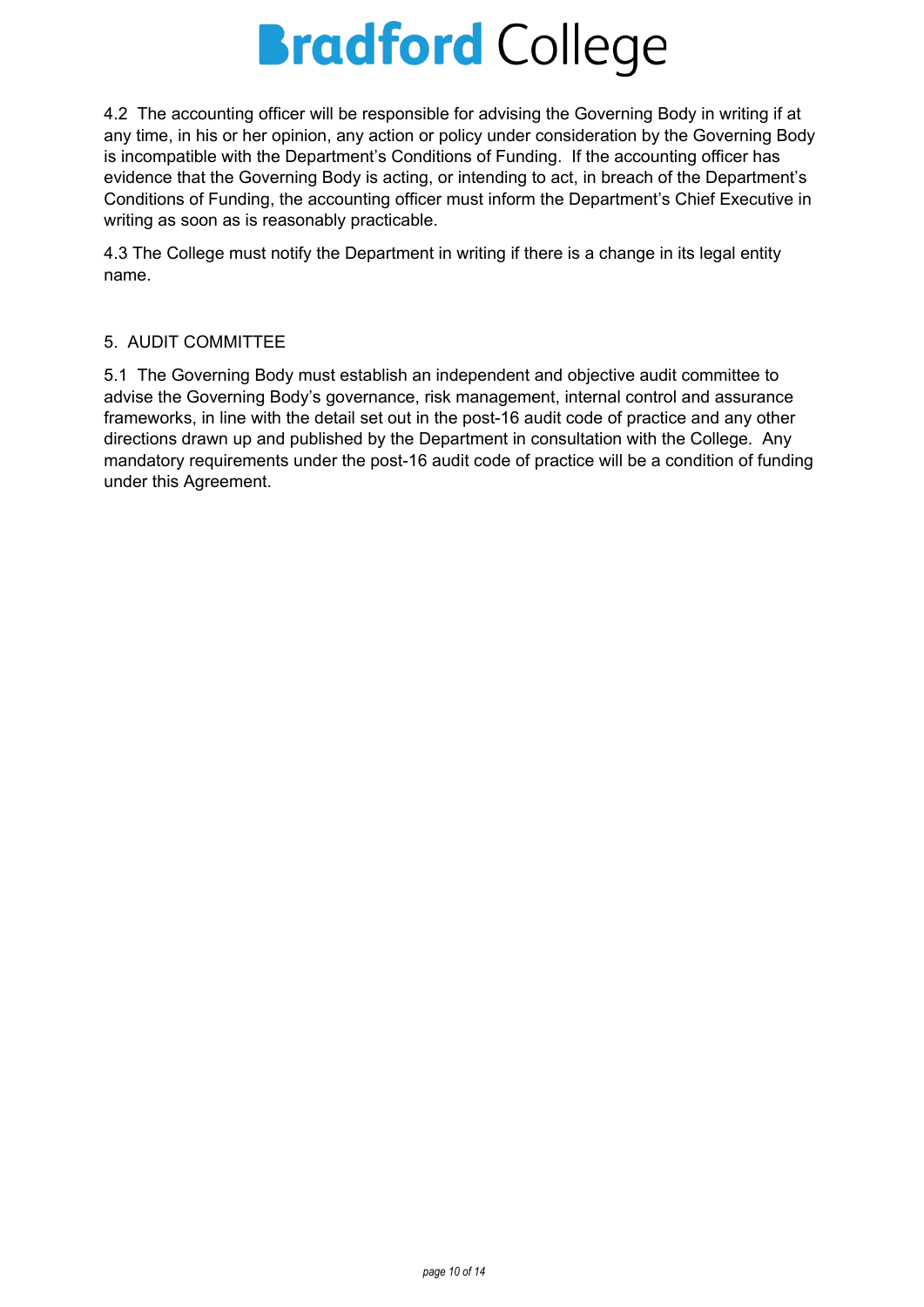4.2 The accounting officer will be responsible for advising the Governing Body in writing if at any time, in his or her opinion, any action or policy under consideration by the Governing Body is incompatible with the Department's Conditions of Funding. If the accounting officer has evidence that the Governing Body is acting, or intending to act, in breach of the Department's Conditions of Funding, the accounting officer must inform the Department's Chief Executive in writing as soon as is reasonably practicable.

4.3 The College must notify the Department in writing if there is a change in its legal entity name.

## 5. AUDIT COMMITTEE

5.1 The Governing Body must establish an independent and objective audit committee to advise the Governing Body's governance, risk management, internal control and assurance frameworks, in line with the detail set out in the post-16 audit code of practice and any other directions drawn up and published by the Department in consultation with the College. Any mandatory requirements under the post-16 audit code of practice will be a condition of funding under this Agreement.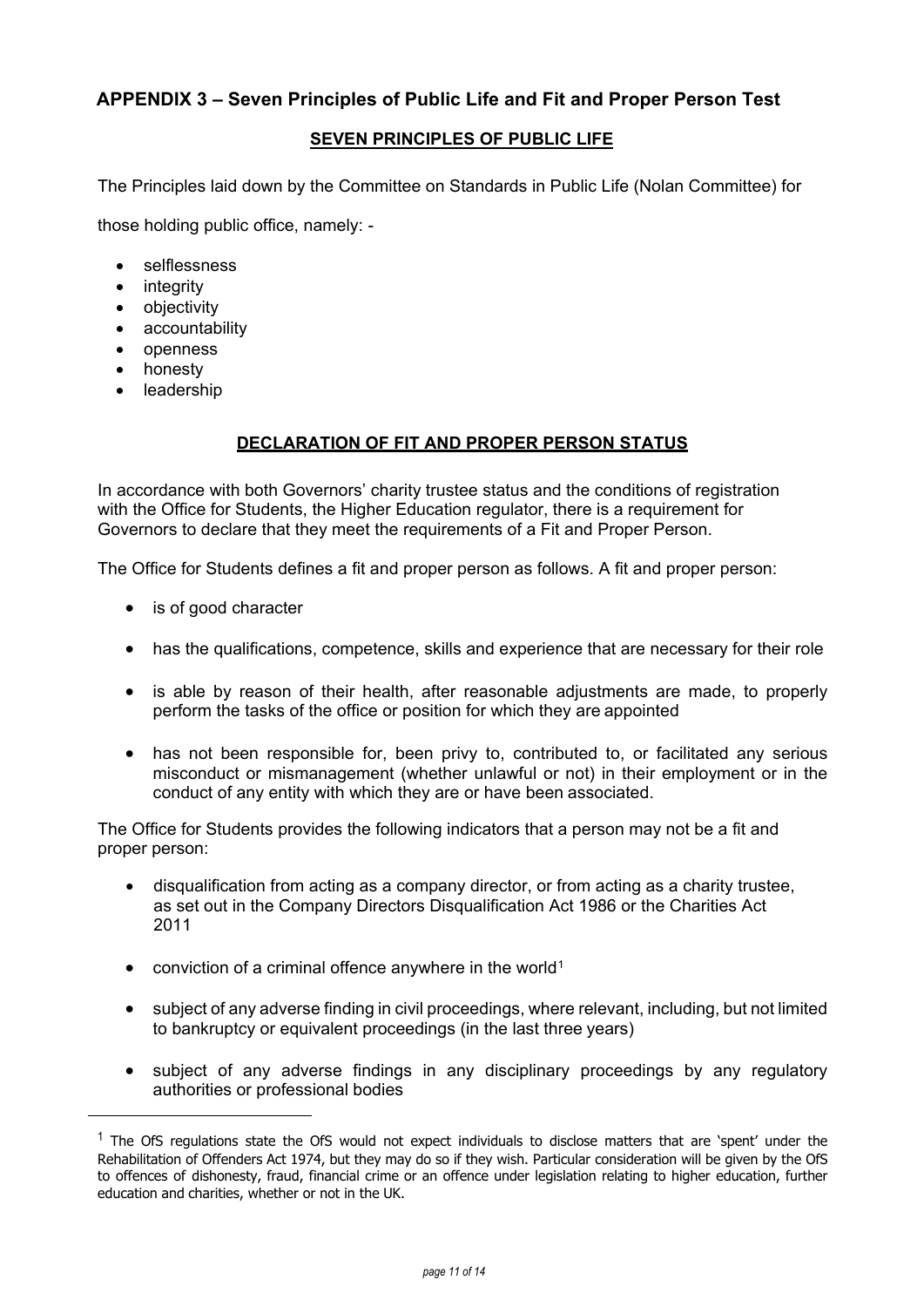### <span id="page-11-0"></span>**APPENDIX 3 – Seven Principles of Public Life and Fit and Proper Person Test**

#### **SEVEN PRINCIPLES OF PUBLIC LIFE**

The Principles laid down by the Committee on Standards in Public Life (Nolan Committee) for

those holding public office, namely: -

- selflessness
- integrity
- objectivity
- accountability
- openness
- honesty

<span id="page-11-1"></span> $\overline{a}$ 

**leadership** 

### **DECLARATION OF FIT AND PROPER PERSON STATUS**

In accordance with both Governors' charity trustee status and the conditions of registration with the Office for Students, the Higher Education regulator, there is a requirement for Governors to declare that they meet the requirements of a Fit and Proper Person.

The Office for Students defines a fit and proper person as follows. A fit and proper person:

- is of good character
- has the qualifications, competence, skills and experience that are necessary for their role
- is able by reason of their health, after reasonable adjustments are made, to properly perform the tasks of the office or position for which they are appointed
- has not been responsible for, been privy to, contributed to, or facilitated any serious misconduct or mismanagement (whether unlawful or not) in their employment or in the conduct of any entity with which they are or have been associated.

The Office for Students provides the following indicators that a person may not be a fit and proper person:

- disqualification from acting as a company director, or from acting as a charity trustee, as set out in the Company Directors Disqualification Act 1986 or the Charities Act 2011
- conviction of a criminal offence anywhere in the world<sup>[1](#page-11-1)</sup>
- subject of any adverse finding in civil proceedings, where relevant, including, but not limited to bankruptcy or equivalent proceedings (in the last three years)
- subject of any adverse findings in any disciplinary proceedings by any regulatory authorities or professional bodies

 $<sup>1</sup>$  The OfS regulations state the OfS would not expect individuals to disclose matters that are 'spent' under the</sup> Rehabilitation of Offenders Act 1974, but they may do so if they wish. Particular consideration will be given by the OfS to offences of dishonesty, fraud, financial crime or an offence under legislation relating to higher education, further education and charities, whether or not in the UK.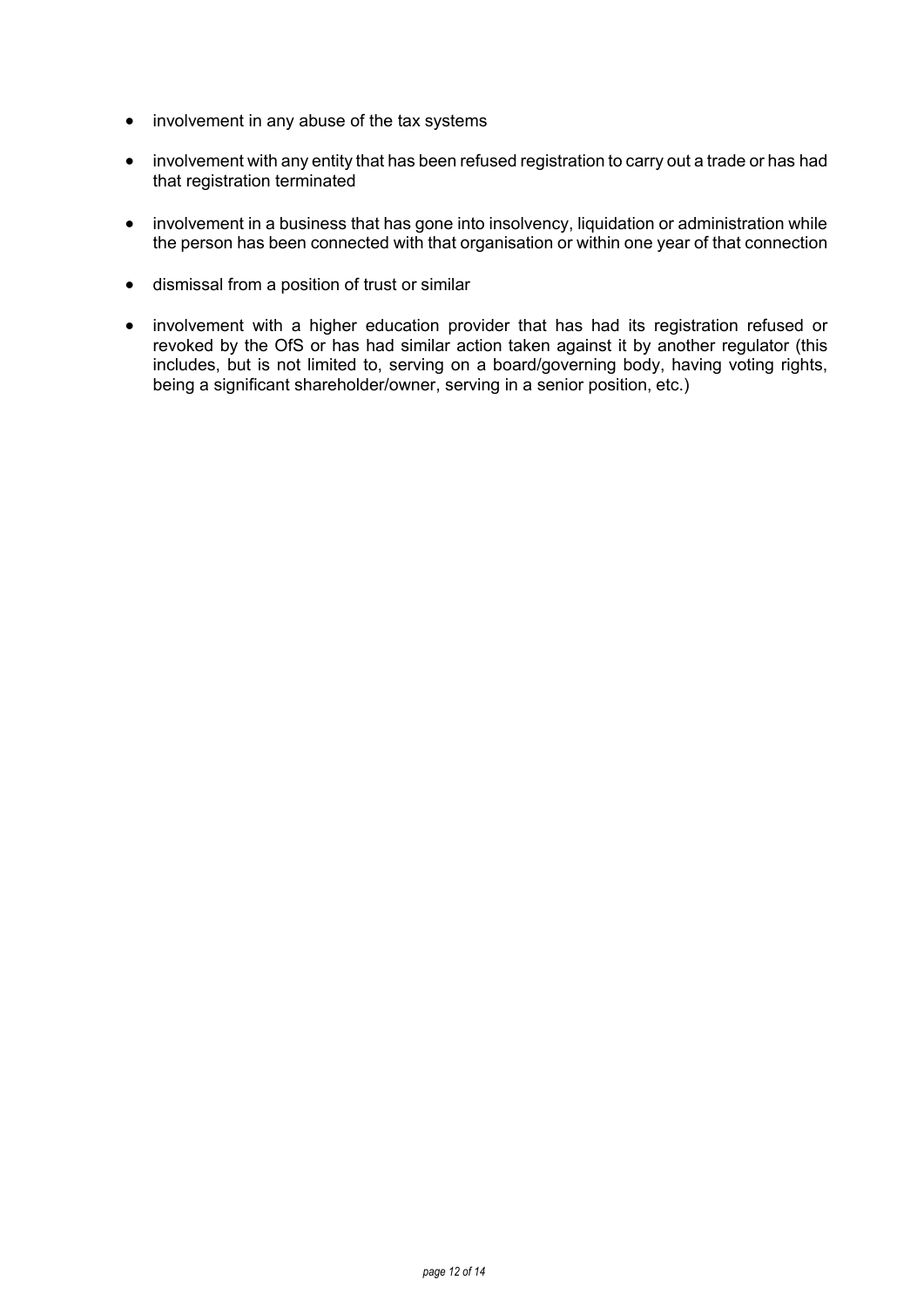- involvement in any abuse of the tax systems
- involvement with any entity that has been refused registration to carry out a trade or has had that registration terminated
- involvement in a business that has gone into insolvency, liquidation or administration while the person has been connected with that organisation or within one year of that connection
- dismissal from a position of trust or similar
- involvement with a higher education provider that has had its registration refused or revoked by the OfS or has had similar action taken against it by another regulator (this includes, but is not limited to, serving on a board/governing body, having voting rights, being a significant shareholder/owner, serving in a senior position, etc.)